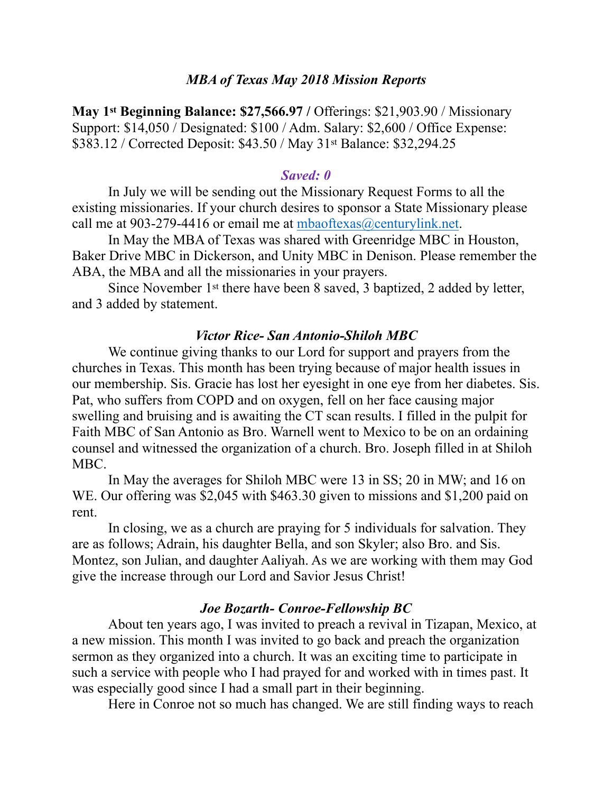### *MBA of Texas May 2018 Mission Reports*

**May 1st Beginning Balance: \$27,566.97 / Offerings: \$21,903.90 / Missionary** Support: \$14,050 / Designated: \$100 / Adm. Salary: \$2,600 / Office Expense: \$383.12 / Corrected Deposit: \$43.50 / May 31st Balance: \$32,294.25

#### *Saved: 0*

In July we will be sending out the Missionary Request Forms to all the existing missionaries. If your church desires to sponsor a State Missionary please call me at 903-279-4416 or email me at [mbaoftexas@centurylink.net](mailto:mbaoftexas@centurylink.net).

 In May the MBA of Texas was shared with Greenridge MBC in Houston, Baker Drive MBC in Dickerson, and Unity MBC in Denison. Please remember the ABA, the MBA and all the missionaries in your prayers.

 Since November 1st there have been 8 saved, 3 baptized, 2 added by letter, and 3 added by statement.

#### *Victor Rice- San Antonio-Shiloh MBC*

 We continue giving thanks to our Lord for support and prayers from the churches in Texas. This month has been trying because of major health issues in our membership. Sis. Gracie has lost her eyesight in one eye from her diabetes. Sis. Pat, who suffers from COPD and on oxygen, fell on her face causing major swelling and bruising and is awaiting the CT scan results. I filled in the pulpit for Faith MBC of San Antonio as Bro. Warnell went to Mexico to be on an ordaining counsel and witnessed the organization of a church. Bro. Joseph filled in at Shiloh MBC.

 In May the averages for Shiloh MBC were 13 in SS; 20 in MW; and 16 on WE. Our offering was \$2,045 with \$463.30 given to missions and \$1,200 paid on rent.

 In closing, we as a church are praying for 5 individuals for salvation. They are as follows; Adrain, his daughter Bella, and son Skyler; also Bro. and Sis. Montez, son Julian, and daughter Aaliyah. As we are working with them may God give the increase through our Lord and Savior Jesus Christ!

#### *Joe Bozarth- Conroe-Fellowship BC*

 About ten years ago, I was invited to preach a revival in Tizapan, Mexico, at a new mission. This month I was invited to go back and preach the organization sermon as they organized into a church. It was an exciting time to participate in such a service with people who I had prayed for and worked with in times past. It was especially good since I had a small part in their beginning.

Here in Conroe not so much has changed. We are still finding ways to reach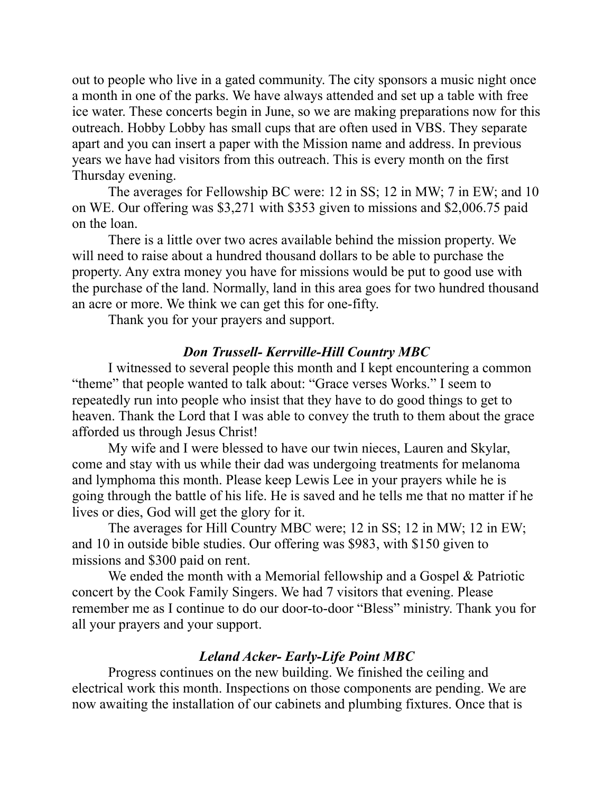out to people who live in a gated community. The city sponsors a music night once a month in one of the parks. We have always attended and set up a table with free ice water. These concerts begin in June, so we are making preparations now for this outreach. Hobby Lobby has small cups that are often used in VBS. They separate apart and you can insert a paper with the Mission name and address. In previous years we have had visitors from this outreach. This is every month on the first Thursday evening.

 The averages for Fellowship BC were: 12 in SS; 12 in MW; 7 in EW; and 10 on WE. Our offering was \$3,271 with \$353 given to missions and \$2,006.75 paid on the loan.

 There is a little over two acres available behind the mission property. We will need to raise about a hundred thousand dollars to be able to purchase the property. Any extra money you have for missions would be put to good use with the purchase of the land. Normally, land in this area goes for two hundred thousand an acre or more. We think we can get this for one-fifty.

Thank you for your prayers and support.

### *Don Trussell- Kerrville-Hill Country MBC*

 I witnessed to several people this month and I kept encountering a common "theme" that people wanted to talk about: "Grace verses Works." I seem to repeatedly run into people who insist that they have to do good things to get to heaven. Thank the Lord that I was able to convey the truth to them about the grace afforded us through Jesus Christ!

 My wife and I were blessed to have our twin nieces, Lauren and Skylar, come and stay with us while their dad was undergoing treatments for melanoma and lymphoma this month. Please keep Lewis Lee in your prayers while he is going through the battle of his life. He is saved and he tells me that no matter if he lives or dies, God will get the glory for it.

 The averages for Hill Country MBC were; 12 in SS; 12 in MW; 12 in EW; and 10 in outside bible studies. Our offering was \$983, with \$150 given to missions and \$300 paid on rent.

We ended the month with a Memorial fellowship and a Gospel & Patriotic concert by the Cook Family Singers. We had 7 visitors that evening. Please remember me as I continue to do our door-to-door "Bless" ministry. Thank you for all your prayers and your support.

# *Leland Acker- Early-Life Point MBC*

 Progress continues on the new building. We finished the ceiling and electrical work this month. Inspections on those components are pending. We are now awaiting the installation of our cabinets and plumbing fixtures. Once that is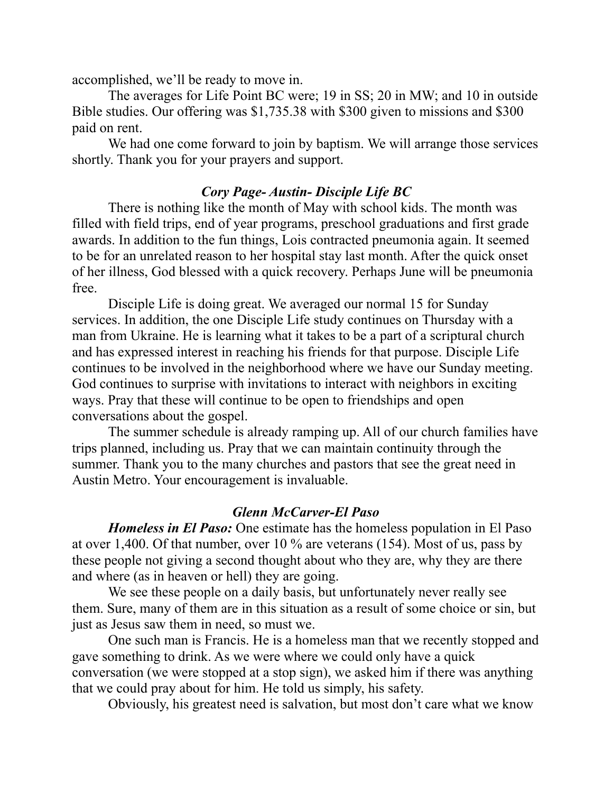accomplished, we'll be ready to move in.

 The averages for Life Point BC were; 19 in SS; 20 in MW; and 10 in outside Bible studies. Our offering was \$1,735.38 with \$300 given to missions and \$300 paid on rent.

 We had one come forward to join by baptism. We will arrange those services shortly. Thank you for your prayers and support.

# *Cory Page- Austin- Disciple Life BC*

 There is nothing like the month of May with school kids. The month was filled with field trips, end of year programs, preschool graduations and first grade awards. In addition to the fun things, Lois contracted pneumonia again. It seemed to be for an unrelated reason to her hospital stay last month. After the quick onset of her illness, God blessed with a quick recovery. Perhaps June will be pneumonia free.

 Disciple Life is doing great. We averaged our normal 15 for Sunday services. In addition, the one Disciple Life study continues on Thursday with a man from Ukraine. He is learning what it takes to be a part of a scriptural church and has expressed interest in reaching his friends for that purpose. Disciple Life continues to be involved in the neighborhood where we have our Sunday meeting. God continues to surprise with invitations to interact with neighbors in exciting ways. Pray that these will continue to be open to friendships and open conversations about the gospel.

 The summer schedule is already ramping up. All of our church families have trips planned, including us. Pray that we can maintain continuity through the summer. Thank you to the many churches and pastors that see the great need in Austin Metro. Your encouragement is invaluable.

# *Glenn McCarver-El Paso*

 *Homeless in El Paso:* One estimate has the homeless population in El Paso at over 1,400. Of that number, over 10 % are veterans (154). Most of us, pass by these people not giving a second thought about who they are, why they are there and where (as in heaven or hell) they are going.

 We see these people on a daily basis, but unfortunately never really see them. Sure, many of them are in this situation as a result of some choice or sin, but just as Jesus saw them in need, so must we.

 One such man is Francis. He is a homeless man that we recently stopped and gave something to drink. As we were where we could only have a quick conversation (we were stopped at a stop sign), we asked him if there was anything that we could pray about for him. He told us simply, his safety.

Obviously, his greatest need is salvation, but most don't care what we know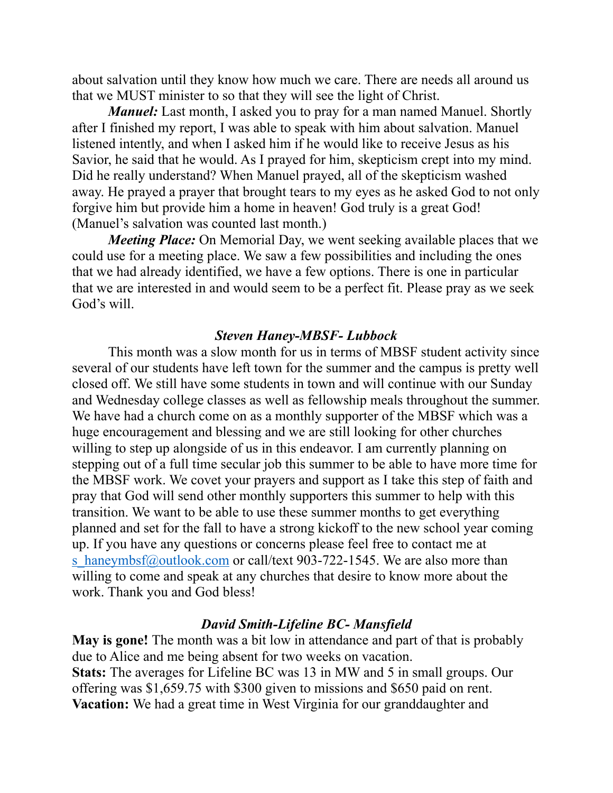about salvation until they know how much we care. There are needs all around us that we MUST minister to so that they will see the light of Christ.

*Manuel:* Last month, I asked you to pray for a man named Manuel. Shortly after I finished my report, I was able to speak with him about salvation. Manuel listened intently, and when I asked him if he would like to receive Jesus as his Savior, he said that he would. As I prayed for him, skepticism crept into my mind. Did he really understand? When Manuel prayed, all of the skepticism washed away. He prayed a prayer that brought tears to my eyes as he asked God to not only forgive him but provide him a home in heaven! God truly is a great God! (Manuel's salvation was counted last month.)

*Meeting Place:* On Memorial Day, we went seeking available places that we could use for a meeting place. We saw a few possibilities and including the ones that we had already identified, we have a few options. There is one in particular that we are interested in and would seem to be a perfect fit. Please pray as we seek God's will.

### *Steven Haney-MBSF- Lubbock*

 This month was a slow month for us in terms of MBSF student activity since several of our students have left town for the summer and the campus is pretty well closed off. We still have some students in town and will continue with our Sunday and Wednesday college classes as well as fellowship meals throughout the summer. We have had a church come on as a monthly supporter of the MBSF which was a huge encouragement and blessing and we are still looking for other churches willing to step up alongside of us in this endeavor. I am currently planning on stepping out of a full time secular job this summer to be able to have more time for the MBSF work. We covet your prayers and support as I take this step of faith and pray that God will send other monthly supporters this summer to help with this transition. We want to be able to use these summer months to get everything planned and set for the fall to have a strong kickoff to the new school year coming up. If you have any questions or concerns please feel free to contact me at [s\\_haneymbsf@outlook.com](mailto:s_haneymbsf@outlook.com) or call/text 903-722-1545. We are also more than willing to come and speak at any churches that desire to know more about the work. Thank you and God bless!

### *David Smith-Lifeline BC- Mansfield*

**May is gone!** The month was a bit low in attendance and part of that is probably due to Alice and me being absent for two weeks on vacation. **Stats:** The averages for Lifeline BC was 13 in MW and 5 in small groups. Our offering was \$1,659.75 with \$300 given to missions and \$650 paid on rent. **Vacation:** We had a great time in West Virginia for our granddaughter and